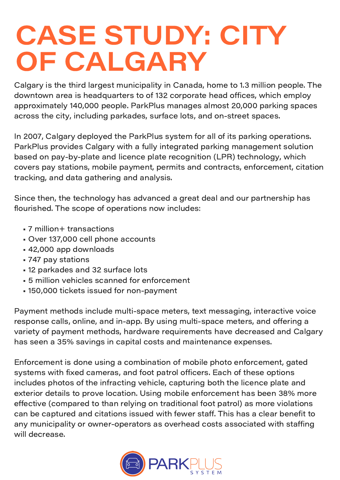## CASE STUDY: CITY OF CALGARY

Calgary is the third largest municipality in Canada, home to 1.3 million people. The downtown area is headquarters to of 132 corporate head offices, which employ approximately 140,000 people. ParkPlus manages almost 20,000 parking spaces across the city, including parkades, surface lots, and on-street spaces.

In 2007, Calgary deployed the ParkPlus system for all of its parking operations. ParkPlus provides Calgary with a fully integrated parking management solution based on pay-by-plate and licence plate recognition (LPR) technology, which covers pay stations, mobile payment, permits and contracts, enforcement, citation tracking, and data gathering and analysis.

Since then, the technology has advanced a great deal and our partnership has flourished. The scope of operations now includes:

- 7 million+ transactions
- Over 137,000 cell phone accounts
- 42,000 app downloads
- 747 pay stations
- 12 parkades and 32 surface lots
- 5 million vehicles scanned for enforcement
- 150,000 tickets issued for non-payment

Payment methods include multi-space meters, text messaging, interactive voice response calls, online, and in-app. By using multi-space meters, and offering a variety of payment methods, hardware requirements have decreased and Calgary has seen a 35% savings in capital costs and maintenance expenses.

Enforcement is done using a combination of mobile photo enforcement, gated systems with fixed cameras, and foot patrol officers. Each of these options includes photos of the infracting vehicle, capturing both the licence plate and exterior details to prove location. Using mobile enforcement has been 38% more effective (compared to than relying on traditional foot patrol) as more violations can be captured and citations issued with fewer staff. This has a clear benefit to any municipality or owner-operators as overhead costs associated with staffing will decrease.